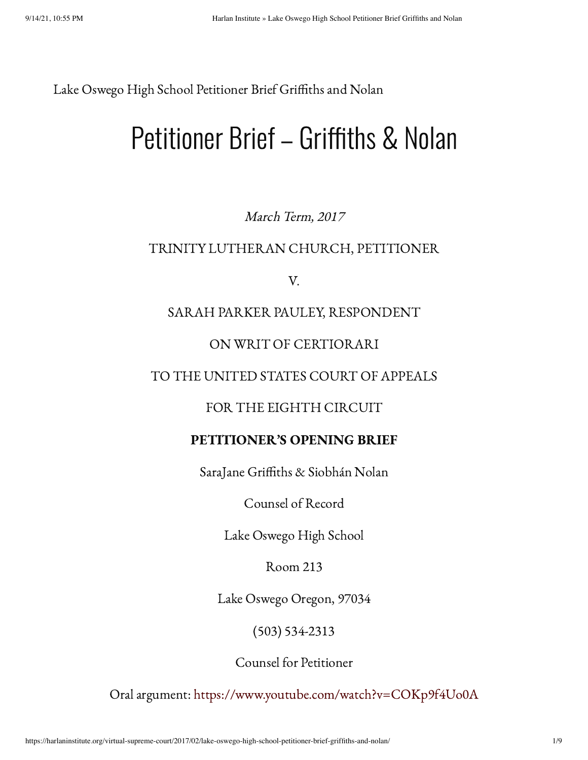Lake Oswego High School Petitioner Brief Griffiths and Nolan

# Petitioner Brief – Griffiths & Nolan

#### March Term, 2017

#### TRINITY LUTHERAN CHURCH, PETITIONER

V.

#### SARAH PARKER PAULEY, RESPONDENT

#### ON WRIT OF CERTIORARI

#### TO THE UNITED STATES COURT OF APPEALS

#### FOR THE EIGHTH CIRCUIT

#### PETITIONER'S OPENING BRIEF

SaraJane Griffiths & Siobhán Nolan

Counsel of Record

Lake Oswego High School

Room 213

Lake Oswego Oregon, 97034

(503) 534-2313

Counsel for Petitioner

Oral argument: <https://www.youtube.com/watch?v=COKp9f4Uo0A>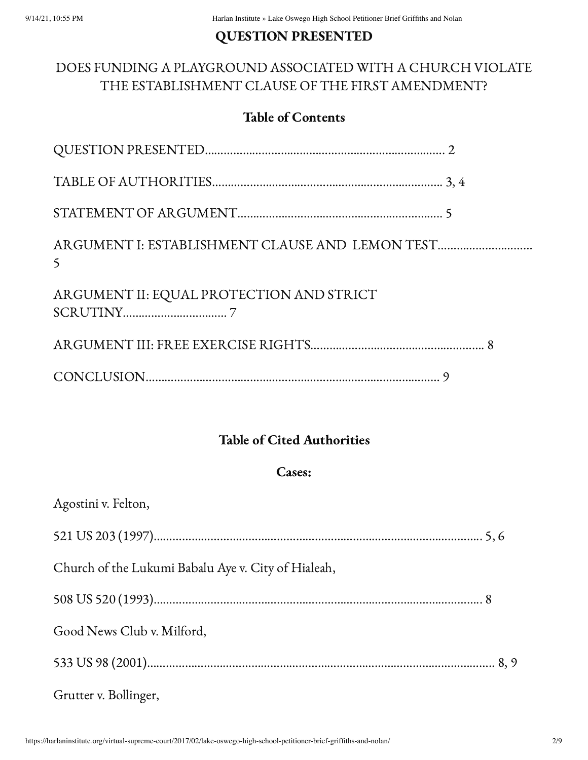#### QUESTION PRESENTED

### DOES FUNDING A PLAYGROUND ASSOCIATED WITH A CHURCH VIOLATE THE ESTABLISHMENT CLAUSE OF THE FIRST AMENDMENT?

#### Table of Contents

| ARGUMENT I: ESTABLISHMENT CLAUSE AND LEMON TEST |
|-------------------------------------------------|
|                                                 |
|                                                 |
|                                                 |
|                                                 |

#### Table of Cited Authorities

#### Cases:

| Agostini v. Felton,                                 |
|-----------------------------------------------------|
|                                                     |
| Church of the Lukumi Babalu Aye v. City of Hialeah, |
|                                                     |
| Good News Club v. Milford,                          |
|                                                     |
| Grutter v. Bollinger,                               |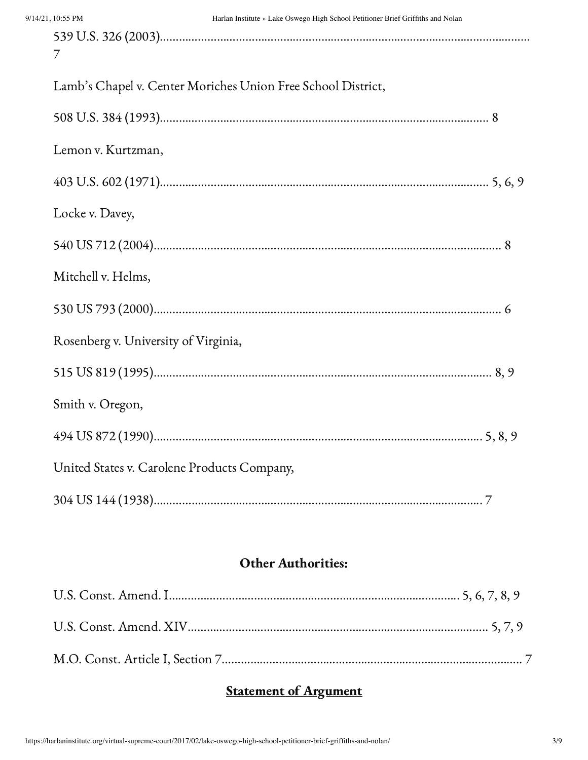| $\gamma$                                                     |
|--------------------------------------------------------------|
| Lamb's Chapel v. Center Moriches Union Free School District, |
|                                                              |
| Lemon v. Kurtzman,                                           |
|                                                              |
| Locke v. Davey,                                              |
|                                                              |
| Mitchell v. Helms,                                           |
|                                                              |
| Rosenberg v. University of Virginia,                         |
|                                                              |
| Smith v. Oregon,                                             |
|                                                              |
| United States v. Carolene Products Company,                  |
|                                                              |

#### Other Authorities:

# **Statement of Argument**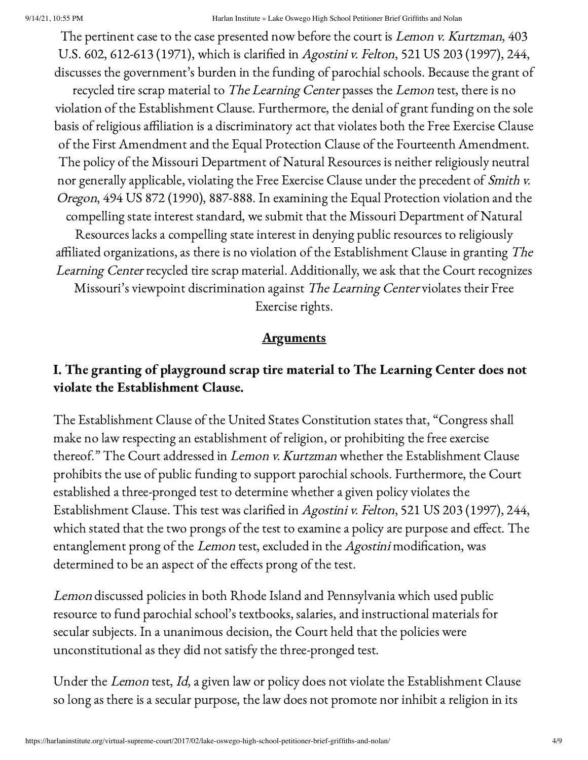The pertinent case to the case presented now before the court is *Lemon v. Kurtzman*, 403 U.S. 602, 612-613 (1971), which is clarified in Agostini v. Felton, 521 US 203 (1997), 244, discusses the government's burden in the funding of parochial schools. Because the grant of

recycled tire scrap material to The Learning Center passes the Lemon test, there is no violation of the Establishment Clause. Furthermore, the denial of grant funding on the sole basis of religious affiliation is a discriminatory act that violates both the Free Exercise Clause of the First Amendment and the Equal Protection Clause of the Fourteenth Amendment. The policy of the Missouri Department of Natural Resources is neither religiously neutral nor generally applicable, violating the Free Exercise Clause under the precedent of Smith v. Oregon, 494 US 872 (1990), 887-888. In examining the Equal Protection violation and the compelling state interest standard, we submit that the Missouri Department of Natural Resources lacks a compelling state interest in denying public resources to religiously affiliated organizations, as there is no violation of the Establishment Clause in granting The Learning Center recycled tire scrap material. Additionally, we ask that the Court recognizes

Missouri's viewpoint discrimination against The Learning Center violates their Free Exercise rights.

#### **Arguments**

#### I. The granting of playground scrap tire material to The Learning Center does not violate the Establishment Clause.

The Establishment Clause of the United States Constitution states that, "Congress shall make no law respecting an establishment of religion, or prohibiting the free exercise thereof." The Court addressed in Lemon v. Kurtzman whether the Establishment Clause prohibits the use of public funding to support parochial schools. Furthermore, the Court established a three-pronged test to determine whether a given policy violates the Establishment Clause. This test was clarified in Agostini v. Felton, 521 US 203 (1997), 244, which stated that the two prongs of the test to examine a policy are purpose and effect. The entanglement prong of the Lemon test, excluded in the Agostini modification, was determined to be an aspect of the effects prong of the test.

Lemon discussed policies in both Rhode Island and Pennsylvania which used public resource to fund parochial school's textbooks, salaries, and instructional materials for secular subjects. In a unanimous decision, the Court held that the policies were unconstitutional as they did not satisfy the three-pronged test.

Under the Lemon test, Id, a given law or policy does not violate the Establishment Clause so long as there is a secular purpose, the law does not promote nor inhibit a religion in its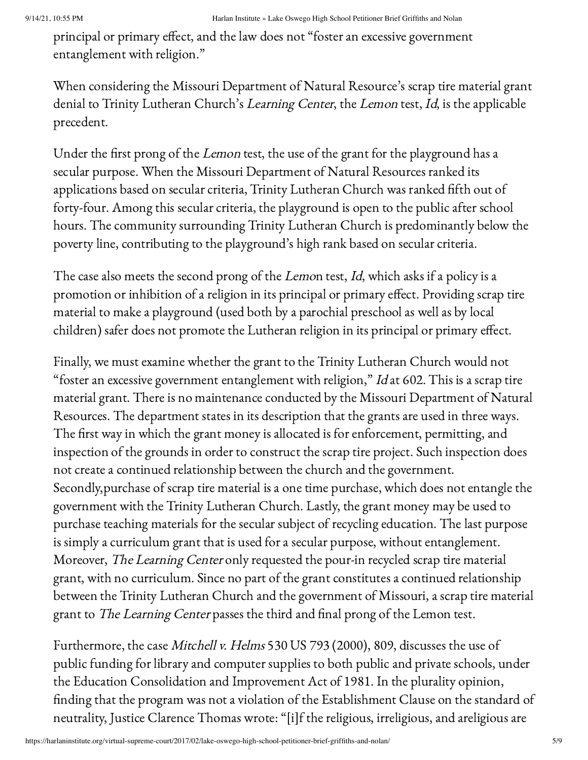principal or primary effect, and the law does not "foster an excessive government entanglement with religion."

When considering the Missouri Department of Natural Resource's scrap tire material grant denial to Trinity Lutheran Church's Learning Center, the Lemon test, Id, is the applicable precedent.

Under the first prong of the Lemon test, the use of the grant for the playground has a secular purpose. When the Missouri Department of Natural Resources ranked its applications based on secular criteria, Trinity Lutheran Church was ranked fifth out of forty-four. Among this secular criteria, the playground is open to the public after school hours. The community surrounding Trinity Lutheran Church is predominantly below the poverty line, contributing to the playground's high rank based on secular criteria.

The case also meets the second prong of the Lemon test, Id, which asks if a policy is a promotion or inhibition of a religion in its principal or primary effect. Providing scrap tire material to make a playground (used both by a parochial preschool as well as by local children) safer does not promote the Lutheran religion in its principal or primary effect.

Finally, we must examine whether the grant to the Trinity Lutheran Church would not "foster an excessive government entanglement with religion,"  $Id$  at 602. This is a scrap tire material grant. There is no maintenance conducted by the Missouri Department of Natural Resources. The department states in its description that the grants are used in three ways. The first way in which the grant money is allocated is for enforcement, permitting, and inspection of the grounds in order to construct the scrap tire project. Such inspection does not create a continued relationship between the church and the government. Secondly,purchase of scrap tire material is a one time purchase, which does not entangle the government with the Trinity Lutheran Church. Lastly, the grant money may be used to purchase teaching materials for the secular subject of recycling education. The last purpose is simply a curriculum grant that is used for a secular purpose, without entanglement. Moreover, The Learning Center only requested the pour-in recycled scrap tire material grant, with no curriculum. Since no part of the grant constitutes a continued relationship between the Trinity Lutheran Church and the government of Missouri, a scrap tire material grant to The Learning Center passes the third and final prong of the Lemon test.

Furthermore, the case Mitchell v. Helms 530 US 793 (2000), 809, discusses the use of public funding for library and computer supplies to both public and private schools, under the Education Consolidation and Improvement Act of 1981. In the plurality opinion, finding that the program was not a violation of the Establishment Clause on the standard of neutrality, Justice Clarence Thomas wrote: "[i]f the religious, irreligious, and areligious are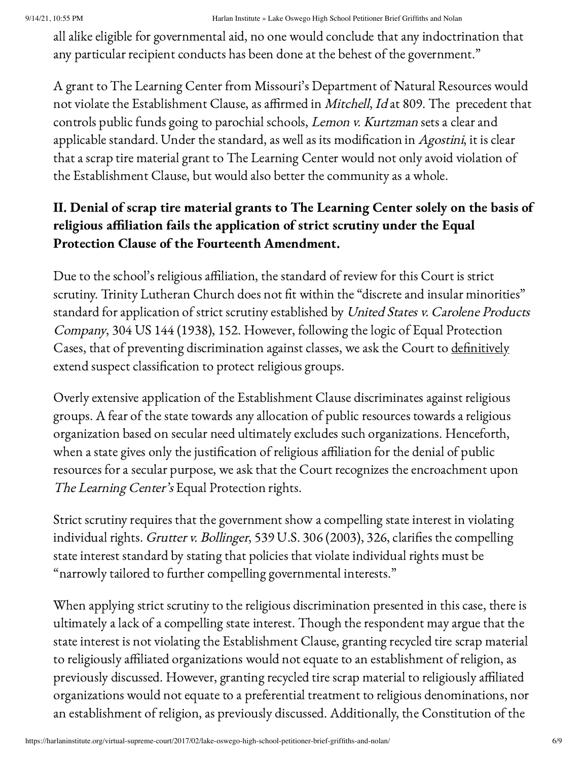all alike eligible for governmental aid, no one would conclude that any indoctrination that any particular recipient conducts has been done at the behest of the government."

A grant to The Learning Center from Missouri's Department of Natural Resources would not violate the Establishment Clause, as affirmed in Mitchell, Id at 809. The precedent that controls public funds going to parochial schools, Lemon v. Kurtzman sets a clear and applicable standard. Under the standard, as well as its modification in Agostini, it is clear that a scrap tire material grant to The Learning Center would not only avoid violation of the Establishment Clause, but would also better the community as a whole.

## II. Denial of scrap tire material grants to The Learning Center solely on the basis of religious affiliation fails the application of strict scrutiny under the Equal Protection Clause of the Fourteenth Amendment.

Due to the school's religious affiliation, the standard of review for this Court is strict scrutiny. Trinity Lutheran Church does not fit within the "discrete and insular minorities" standard for application of strict scrutiny established by United States v. Carolene Products Company, 304 US 144 (1938), 152. However, following the logic of Equal Protection Cases, that of preventing discrimination against classes, we ask the Court to definitively extend suspect classification to protect religious groups.

Overly extensive application of the Establishment Clause discriminates against religious groups. A fear of the state towards any allocation of public resources towards a religious organization based on secular need ultimately excludes such organizations. Henceforth, when a state gives only the justification of religious affiliation for the denial of public resources for a secular purpose, we ask that the Court recognizes the encroachment upon The Learning Center's Equal Protection rights.

Strict scrutiny requires that the government show a compelling state interest in violating individual rights. Grutter v. Bollinger, 539 U.S. 306 (2003), 326, clarifies the compelling state interest standard by stating that policies that violate individual rights must be "narrowly tailored to further compelling governmental interests."

When applying strict scrutiny to the religious discrimination presented in this case, there is ultimately a lack of a compelling state interest. Though the respondent may argue that the state interest is not violating the Establishment Clause, granting recycled tire scrap material to religiously affiliated organizations would not equate to an establishment of religion, as previously discussed. However, granting recycled tire scrap material to religiously affiliated organizations would not equate to a preferential treatment to religious denominations, nor an establishment of religion, as previously discussed. Additionally, the Constitution of the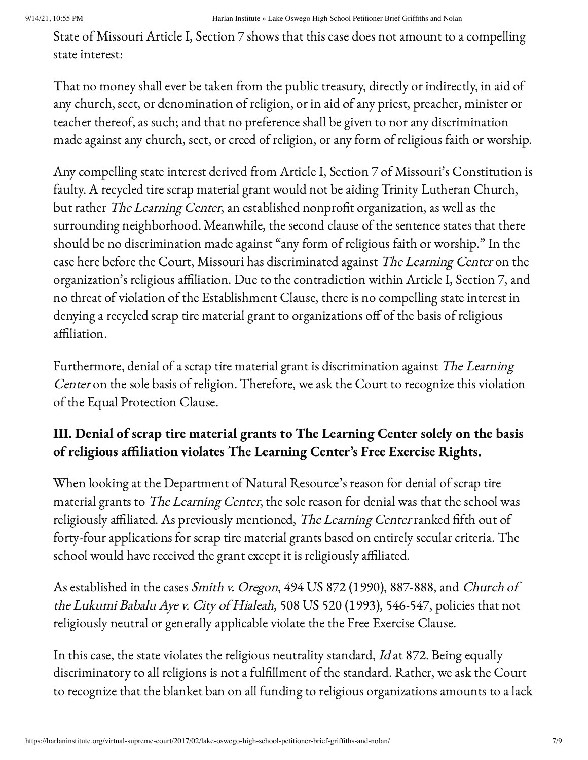State of Missouri Article I, Section 7 shows that this case does not amount to a compelling state interest:

That no money shall ever be taken from the public treasury, directly or indirectly, in aid of any church, sect, or denomination of religion, or in aid of any priest, preacher, minister or teacher thereof, as such; and that no preference shall be given to nor any discrimination made against any church, sect, or creed of religion, or any form of religious faith or worship.

Any compelling state interest derived from Article I, Section 7 of Missouri's Constitution is faulty. A recycled tire scrap material grant would not be aiding Trinity Lutheran Church, but rather The Learning Center, an established nonprofit organization, as well as the surrounding neighborhood. Meanwhile, the second clause of the sentence states that there should be no discrimination made against "any form of religious faith or worship." In the case here before the Court, Missouri has discriminated against The Learning Center on the organization's religious affiliation. Due to the contradiction within Article I, Section 7, and no threat of violation of the Establishment Clause, there is no compelling state interest in denying a recycled scrap tire material grant to organizations off of the basis of religious affiliation.

Furthermore, denial of a scrap tire material grant is discrimination against The Learning Center on the sole basis of religion. Therefore, we ask the Court to recognize this violation of the Equal Protection Clause.

# III. Denial of scrap tire material grants to The Learning Center solely on the basis of religious affiliation violates The Learning Center's Free Exercise Rights.

When looking at the Department of Natural Resource's reason for denial of scrap tire material grants to The Learning Center, the sole reason for denial was that the school was religiously affiliated. As previously mentioned, The Learning Center ranked fifth out of forty-four applications for scrap tire material grants based on entirely secular criteria. The school would have received the grant except it is religiously affiliated.

As established in the cases Smith v. Oregon, 494 US 872 (1990), 887-888, and Church of the Lukumi Babalu Aye v. City of Hialeah, 508 US 520 (1993), 546-547, policies that not religiously neutral or generally applicable violate the the Free Exercise Clause.

In this case, the state violates the religious neutrality standard, Id at 872. Being equally discriminatory to all religions is not a fulfillment of the standard. Rather, we ask the Court to recognize that the blanket ban on all funding to religious organizations amounts to a lack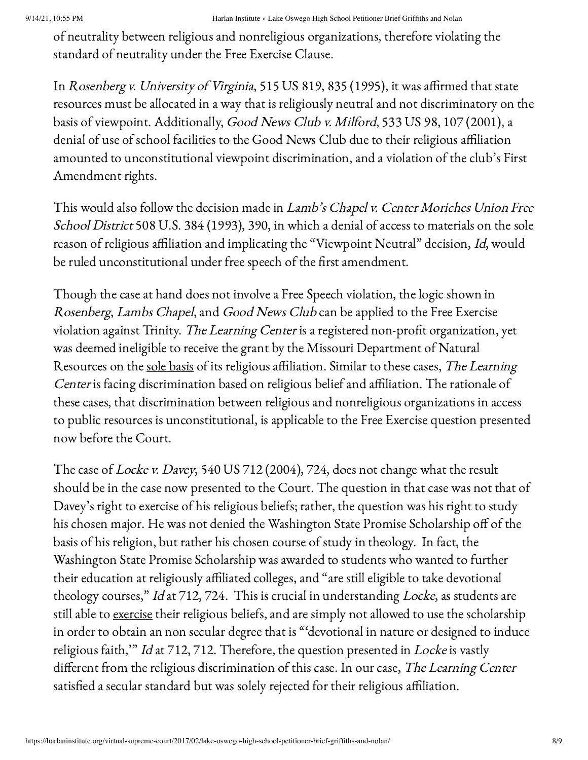of neutrality between religious and nonreligious organizations, therefore violating the standard of neutrality under the Free Exercise Clause.

In Rosenberg v. University of Virginia, 515 US 819, 835 (1995), it was affirmed that state resources must be allocated in a way that is religiously neutral and not discriminatory on the basis of viewpoint. Additionally, Good News Club v. Milford, 533 US 98, 107 (2001), a denial of use of school facilities to the Good News Club due to their religious affiliation amounted to unconstitutional viewpoint discrimination, and a violation of the club's First Amendment rights.

This would also follow the decision made in *Lamb's Chapel v. Center Moriches Union Free* School District 508 U.S. 384 (1993), 390, in which a denial of access to materials on the sole reason of religious affiliation and implicating the "Viewpoint Neutral" decision, Id, would be ruled unconstitutional under free speech of the first amendment.

Though the case at hand does not involve a Free Speech violation, the logic shown in Rosenberg, Lambs Chapel, and Good News Club can be applied to the Free Exercise violation against Trinity. The Learning Center is a registered non-profit organization, yet was deemed ineligible to receive the grant by the Missouri Department of Natural Resources on the sole basis of its religious affiliation. Similar to these cases, The Learning Center is facing discrimination based on religious belief and affiliation. The rationale of these cases, that discrimination between religious and nonreligious organizations in access to public resources is unconstitutional, is applicable to the Free Exercise question presented now before the Court.

The case of Locke v. Davey, 540 US 712 (2004), 724, does not change what the result should be in the case now presented to the Court. The question in that case was not that of Davey's right to exercise of his religious beliefs; rather, the question was his right to study his chosen major. He was not denied the Washington State Promise Scholarship off of the basis of his religion, but rather his chosen course of study in theology. In fact, the Washington State Promise Scholarship was awarded to students who wanted to further their education at religiously affiliated colleges, and "are still eligible to take devotional theology courses," Id at 712, 724. This is crucial in understanding Locke, as students are still able to exercise their religious beliefs, and are simply not allowed to use the scholarship in order to obtain an non secular degree that is "'devotional in nature or designed to induce religious faith," Id at 712, 712. Therefore, the question presented in Locke is vastly different from the religious discrimination of this case. In our case, The Learning Center satisfied a secular standard but was solely rejected for their religious affiliation.